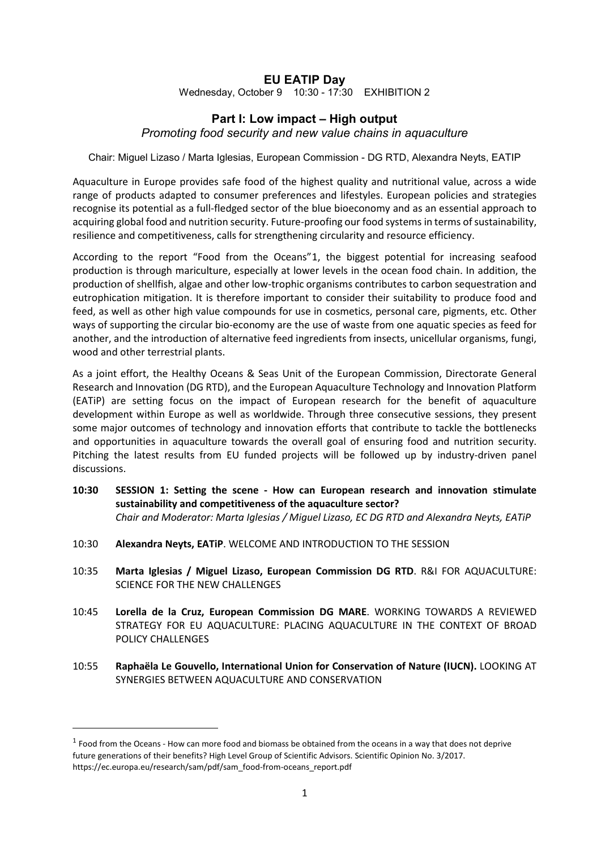## **EU EATIP Day**

Wednesday, October 9 10:30 - 17:30 EXHIBITION 2

## **Part I: Low impact – High output**

*Promoting food security and new value chains in aquaculture*

Chair: Miguel Lizaso / Marta Iglesias, European Commission - DG RTD, Alexandra Neyts, EATIP

Aquaculture in Europe provides safe food of the highest quality and nutritional value, across a wide range of products adapted to consumer preferences and lifestyles. European policies and strategies recognise its potential as a full-fledged sector of the blue bioeconomy and as an essential approach to acquiring global food and nutrition security. Future-proofing our food systems in terms of sustainability, resilience and competitiveness, calls for strengthening circularity and resource efficiency.

According to the report "Food from the Oceans"[1,](#page-0-0) the biggest potential for increasing seafood production is through mariculture, especially at lower levels in the ocean food chain. In addition, the production of shellfish, algae and other low-trophic organisms contributes to carbon sequestration and eutrophication mitigation. It is therefore important to consider their suitability to produce food and feed, as well as other high value compounds for use in cosmetics, personal care, pigments, etc. Other ways of supporting the circular bio-economy are the use of waste from one aquatic species as feed for another, and the introduction of alternative feed ingredients from insects, unicellular organisms, fungi, wood and other terrestrial plants.

As a joint effort, the Healthy Oceans & Seas Unit of the European Commission, Directorate General Research and Innovation (DG RTD), and the European Aquaculture Technology and Innovation Platform (EATiP) are setting focus on the impact of European research for the benefit of aquaculture development within Europe as well as worldwide. Through three consecutive sessions, they present some major outcomes of technology and innovation efforts that contribute to tackle the bottlenecks and opportunities in aquaculture towards the overall goal of ensuring food and nutrition security. Pitching the latest results from EU funded projects will be followed up by industry-driven panel discussions.

- **10:30 SESSION 1: Setting the scene - How can European research and innovation stimulate sustainability and competitiveness of the aquaculture sector?** *Chair and Moderator: Marta Iglesias / Miguel Lizaso, EC DG RTD and Alexandra Neyts, EATiP*
- 10:30 **Alexandra Neyts, EATiP**. WELCOME AND INTRODUCTION TO THE SESSION
- 10:35 **Marta Iglesias / Miguel Lizaso, European Commission DG RTD**. R&I FOR AQUACULTURE: SCIENCE FOR THE NEW CHALLENGES
- 10:45 **Lorella de la Cruz, European Commission DG MARE**. WORKING TOWARDS A REVIEWED STRATEGY FOR EU AQUACULTURE: PLACING AQUACULTURE IN THE CONTEXT OF BROAD POLICY CHALLENGES
- 10:55 **Raphaëla Le Gouvello, International Union for Conservation of Nature (IUCN).** LOOKING AT SYNERGIES BETWEEN AQUACULTURE AND CONSERVATION

**.** 

<span id="page-0-0"></span> $1$  Food from the Oceans - How can more food and biomass be obtained from the oceans in a way that does not deprive future generations of their benefits? High Level Group of Scientific Advisors. Scientific Opinion No. 3/2017. https://ec.europa.eu/research/sam/pdf/sam\_food-from-oceans\_report.pdf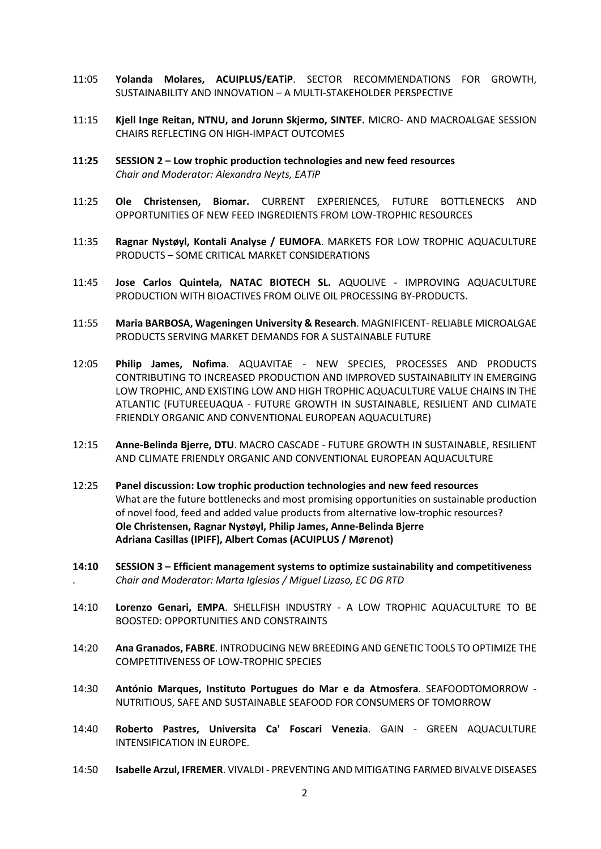- 11:05 **Yolanda Molares, ACUIPLUS/EATiP**. SECTOR RECOMMENDATIONS FOR GROWTH, SUSTAINABILITY AND INNOVATION – A MULTI-STAKEHOLDER PERSPECTIVE
- 11:15 **Kjell Inge Reitan, NTNU, and Jorunn Skjermo, SINTEF.** MICRO- AND MACROALGAE SESSION CHAIRS REFLECTING ON HIGH-IMPACT OUTCOMES
- **11:25 SESSION 2 – Low trophic production technologies and new feed resources** *Chair and Moderator: Alexandra Neyts, EATiP*
- 11:25 **Ole Christensen, Biomar.** CURRENT EXPERIENCES, FUTURE BOTTLENECKS AND OPPORTUNITIES OF NEW FEED INGREDIENTS FROM LOW-TROPHIC RESOURCES
- 11:35 **Ragnar Nystøyl, Kontali Analyse / EUMOFA**. MARKETS FOR LOW TROPHIC AQUACULTURE PRODUCTS – SOME CRITICAL MARKET CONSIDERATIONS
- 11:45 **Jose Carlos Quintela, NATAC BIOTECH SL.** AQUOLIVE IMPROVING AQUACULTURE PRODUCTION WITH BIOACTIVES FROM OLIVE OIL PROCESSING BY-PRODUCTS.
- 11:55 **Maria BARBOSA, Wageningen University & Research**. MAGNIFICENT- RELIABLE MICROALGAE PRODUCTS SERVING MARKET DEMANDS FOR A SUSTAINABLE FUTURE
- 12:05 **Philip James, Nofima**. AQUAVITAE NEW SPECIES, PROCESSES AND PRODUCTS CONTRIBUTING TO INCREASED PRODUCTION AND IMPROVED SUSTAINABILITY IN EMERGING LOW TROPHIC, AND EXISTING LOW AND HIGH TROPHIC AQUACULTURE VALUE CHAINS IN THE ATLANTIC (FUTUREEUAQUA - FUTURE GROWTH IN SUSTAINABLE, RESILIENT AND CLIMATE FRIENDLY ORGANIC AND CONVENTIONAL EUROPEAN AQUACULTURE)
- 12:15 **Anne-Belinda Bjerre, DTU**. MACRO CASCADE FUTURE GROWTH IN SUSTAINABLE, RESILIENT AND CLIMATE FRIENDLY ORGANIC AND CONVENTIONAL EUROPEAN AQUACULTURE
- 12:25 **Panel discussion: Low trophic production technologies and new feed resources** What are the future bottlenecks and most promising opportunities on sustainable production of novel food, feed and added value products from alternative low-trophic resources? **Ole Christensen, Ragnar Nystøyl, Philip James, Anne-Belinda Bjerre Adriana Casillas (IPIFF), Albert Comas (ACUIPLUS / Mørenot)**
- **14:10 SESSION 3 – Efficient management systems to optimize sustainability and competitiveness** . *Chair and Moderator: Marta Iglesias / Miguel Lizaso, EC DG RTD*
- 14:10 **Lorenzo Genari, EMPA**. SHELLFISH INDUSTRY A LOW TROPHIC AQUACULTURE TO BE BOOSTED: OPPORTUNITIES AND CONSTRAINTS
- 14:20 **Ana Granados, FABRE**. INTRODUCING NEW BREEDING AND GENETIC TOOLS TO OPTIMIZE THE COMPETITIVENESS OF LOW-TROPHIC SPECIES
- 14:30 **António Marques, Instituto Portugues do Mar e da Atmosfera**. SEAFOODTOMORROW NUTRITIOUS, SAFE AND SUSTAINABLE SEAFOOD FOR CONSUMERS OF TOMORROW
- 14:40 **Roberto Pastres, Universita Ca' Foscari Venezia**. GAIN GREEN AQUACULTURE INTENSIFICATION IN EUROPE.
- 14:50 **Isabelle Arzul, IFREMER**. VIVALDI PREVENTING AND MITIGATING FARMED BIVALVE DISEASES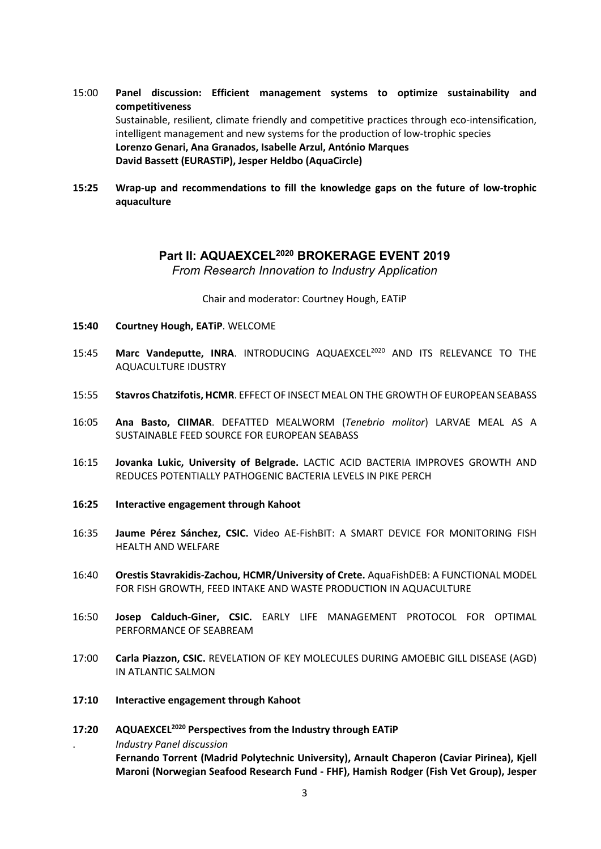- 15:00 **Panel discussion: Efficient management systems to optimize sustainability and competitiveness** Sustainable, resilient, climate friendly and competitive practices through eco-intensification, intelligent management and new systems for the production of low-trophic species **Lorenzo Genari, Ana Granados, Isabelle Arzul, António Marques David Bassett (EURASTiP), Jesper Heldbo (AquaCircle)**
- **15:25 Wrap-up and recommendations to fill the knowledge gaps on the future of low-trophic aquaculture**

## **Part II: AQUAEXCEL2020 BROKERAGE EVENT 2019**

*From Research Innovation to Industry Application*

Chair and moderator: Courtney Hough, EATiP

- **15:40 Courtney Hough, EATiP**. WELCOME
- 15:45 **Marc Vandeputte, INRA**. INTRODUCING AQUAEXCEL2020 AND ITS RELEVANCE TO THE AQUACULTURE IDUSTRY
- 15:55 **Stavros Chatzifotis, HCMR**. EFFECT OF INSECT MEAL ON THE GROWTH OF EUROPEAN SEABASS
- 16:05 **Ana Basto, CIIMAR**. DEFATTED MEALWORM (*Tenebrio molitor*) LARVAE MEAL AS A SUSTAINABLE FEED SOURCE FOR EUROPEAN SEABASS
- 16:15 **Jovanka Lukic, University of Belgrade.** LACTIC ACID BACTERIA IMPROVES GROWTH AND REDUCES POTENTIALLY PATHOGENIC BACTERIA LEVELS IN PIKE PERCH
- **16:25 Interactive engagement through Kahoot**
- 16:35 **Jaume Pérez Sánchez, CSIC.** Video AE-FishBIT: A SMART DEVICE FOR MONITORING FISH HEALTH AND WELFARE
- 16:40 **Orestis Stavrakidis-Zachou, HCMR/University of Crete.** AquaFishDEB: A FUNCTIONAL MODEL FOR FISH GROWTH, FEED INTAKE AND WASTE PRODUCTION IN AQUACULTURE
- 16:50 **Josep Calduch-Giner, CSIC.** EARLY LIFE MANAGEMENT PROTOCOL FOR OPTIMAL PERFORMANCE OF SEABREAM
- 17:00 **Carla Piazzon, CSIC.** REVELATION OF KEY MOLECULES DURING AMOEBIC GILL DISEASE (AGD) IN ATLANTIC SALMON
- **17:10 Interactive engagement through Kahoot**
- **17:20 AQUAEXCEL2020 Perspectives from the Industry through EATiP** . *Industry Panel discussion* **Fernando Torrent (Madrid Polytechnic University), Arnault Chaperon (Caviar Pirinea), Kjell Maroni (Norwegian Seafood Research Fund - FHF), Hamish Rodger (Fish Vet Group), Jesper**